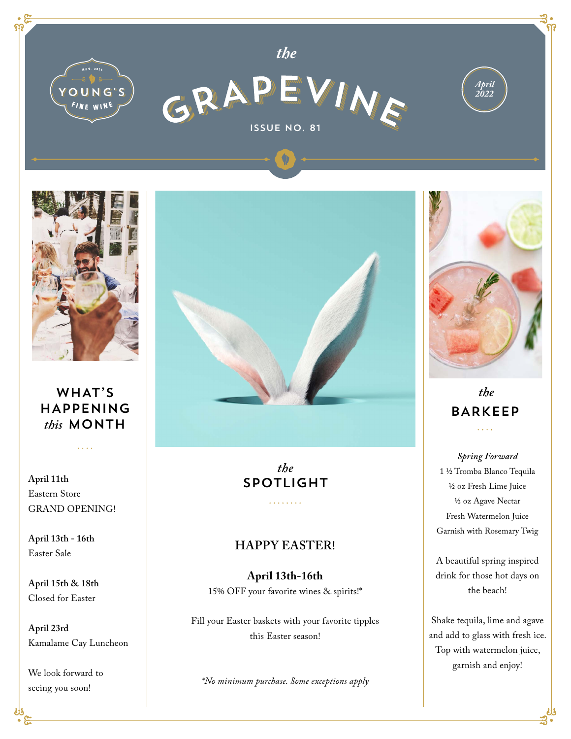



## WHAT'S HAPPENING *this* MONTH

 $\mathbf{1}$ 

**April 11th**  Eastern Store GRAND OPENING!

**April 13th - 16th**  Easter Sale

**April 15th & 18th**  Closed for Easter

**April 23rd** Kamalame Cay Luncheon

We look forward to seeing you soon!



*the* SPOTLIGHT

. . . . . . . .

#### **HAPPY EASTER!**

**April 13th-16th**  15% OFF your favorite wines & spirits!\*

Fill your Easter baskets with your favorite tipples this Easter season!

*\*No minimum purchase. Some exceptions apply* 



### *the* BARKEEP  $\cdots$

*Spring Forward* 1 ½ Tromba Blanco Tequila ½ oz Fresh Lime Juice ½ oz Agave Nectar Fresh Watermelon Juice Garnish with Rosemary Twig

A beautiful spring inspired drink for those hot days on the beach!

Shake tequila, lime and agave and add to glass with fresh ice. Top with watermelon juice, garnish and enjoy!